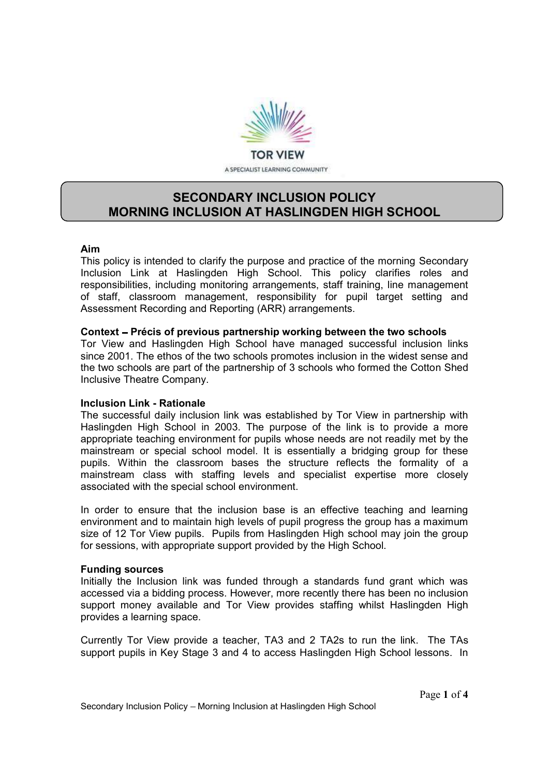

# SECONDARY INCLUSION POLICY MORNING INCLUSION AT HASLINGDEN HIGH SCHOOL

### Aim

This policy is intended to clarify the purpose and practice of the morning Secondary Inclusion Link at Haslingden High School. This policy clarifies roles and responsibilities, including monitoring arrangements, staff training, line management of staff, classroom management, responsibility for pupil target setting and Assessment Recording and Reporting (ARR) arrangements.

### Context – Précis of previous partnership working between the two schools

Tor View and Haslingden High School have managed successful inclusion links since 2001. The ethos of the two schools promotes inclusion in the widest sense and the two schools are part of the partnership of 3 schools who formed the Cotton Shed Inclusive Theatre Company.

### Inclusion Link - Rationale

The successful daily inclusion link was established by Tor View in partnership with Haslingden High School in 2003. The purpose of the link is to provide a more appropriate teaching environment for pupils whose needs are not readily met by the mainstream or special school model. It is essentially a bridging group for these pupils. Within the classroom bases the structure reflects the formality of a mainstream class with staffing levels and specialist expertise more closely associated with the special school environment.

In order to ensure that the inclusion base is an effective teaching and learning environment and to maintain high levels of pupil progress the group has a maximum size of 12 Tor View pupils. Pupils from Haslingden High school may join the group for sessions, with appropriate support provided by the High School.

### Funding sources

Initially the Inclusion link was funded through a standards fund grant which was accessed via a bidding process. However, more recently there has been no inclusion support money available and Tor View provides staffing whilst Haslingden High provides a learning space.

Currently Tor View provide a teacher, TA3 and 2 TA2s to run the link. The TAs support pupils in Key Stage 3 and 4 to access Haslingden High School lessons. In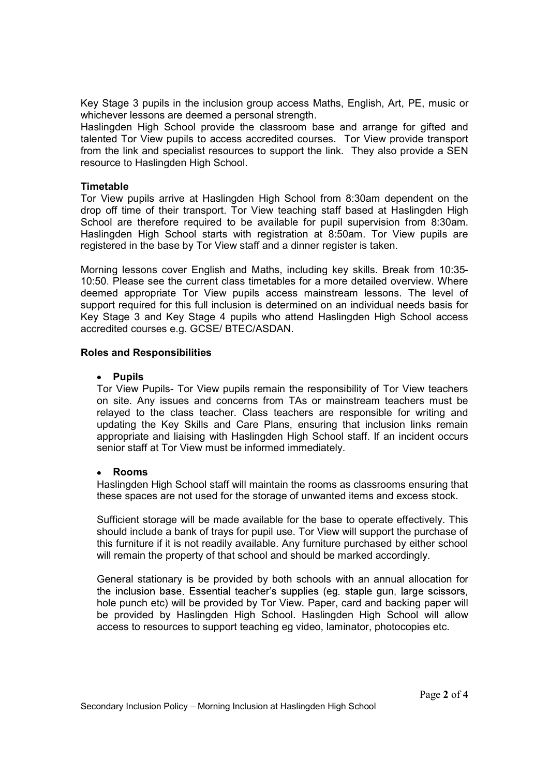Key Stage 3 pupils in the inclusion group access Maths, English, Art, PE, music or whichever lessons are deemed a personal strength.

Haslingden High School provide the classroom base and arrange for gifted and talented Tor View pupils to access accredited courses. Tor View provide transport from the link and specialist resources to support the link. They also provide a SEN resource to Haslingden High School.

### **Timetable**

Tor View pupils arrive at Haslingden High School from 8:30am dependent on the drop off time of their transport. Tor View teaching staff based at Haslingden High School are therefore required to be available for pupil supervision from 8:30am. Haslingden High School starts with registration at 8:50am. Tor View pupils are registered in the base by Tor View staff and a dinner register is taken.

Morning lessons cover English and Maths, including key skills. Break from 10:35- 10:50. Please see the current class timetables for a more detailed overview. Where deemed appropriate Tor View pupils access mainstream lessons. The level of support required for this full inclusion is determined on an individual needs basis for Key Stage 3 and Key Stage 4 pupils who attend Haslingden High School access accredited courses e.g. GCSE/ BTEC/ASDAN.

### Roles and Responsibilities

### • Pupils

Tor View Pupils- Tor View pupils remain the responsibility of Tor View teachers on site. Any issues and concerns from TAs or mainstream teachers must be relayed to the class teacher. Class teachers are responsible for writing and updating the Key Skills and Care Plans, ensuring that inclusion links remain appropriate and liaising with Haslingden High School staff. If an incident occurs senior staff at Tor View must be informed immediately.

#### Rooms  $\bullet$

Haslingden High School staff will maintain the rooms as classrooms ensuring that these spaces are not used for the storage of unwanted items and excess stock.

Sufficient storage will be made available for the base to operate effectively. This should include a bank of trays for pupil use. Tor View will support the purchase of this furniture if it is not readily available. Any furniture purchased by either school will remain the property of that school and should be marked accordingly.

General stationary is be provided by both schools with an annual allocation for the inclusion base. Essential teacher's supplies (eg. staple gun, large scissors, hole punch etc) will be provided by Tor View. Paper, card and backing paper will be provided by Haslingden High School. Haslingden High School will allow access to resources to support teaching eg video, laminator, photocopies etc.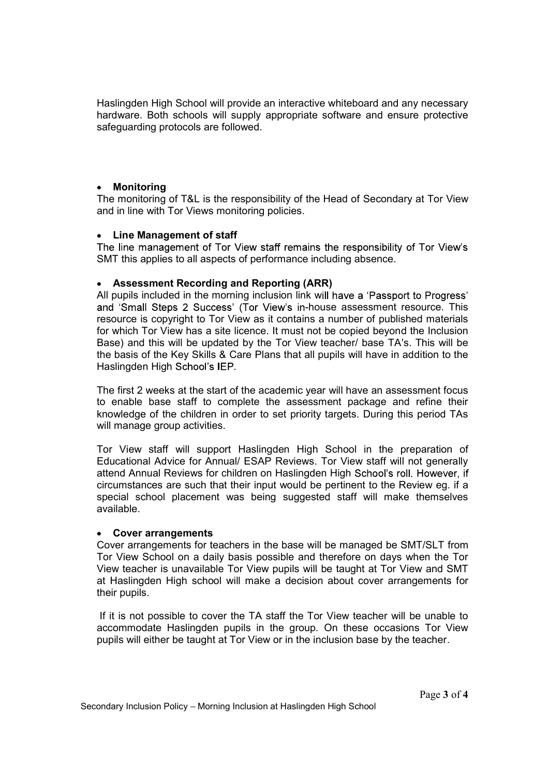Haslingden High School will provide an interactive whiteboard and any necessary hardware. Both schools will supply appropriate software and ensure protective safeguarding protocols are followed.

#### $\bullet$ Monitoring

The monitoring of T&L is the responsibility of the Head of Secondary at Tor View and in line with Tor Views monitoring policies.

### Line Management of staff

The line management of Tor View staff remains the responsibility of Tor View's SMT this applies to all aspects of performance including absence.

# Assessment Recording and Reporting (ARR)

All pupils included in the morning inclusion link will have a 'Passport to Progress' and 'Small Steps 2 Success' (Tor View's in-house assessment resource. This resource is copyright to Tor View as it contains a number of published materials for which Tor View has a site licence. It must not be copied beyond the Inclusion Base) and this will be updated by the Tor View teacher/ base TA's. This will be the basis of the Key Skills & Care Plans that all pupils will have in addition to the Haslingden High School's IEP.

The first 2 weeks at the start of the academic year will have an assessment focus to enable base staff to complete the assessment package and refine their knowledge of the children in order to set priority targets. During this period TAs will manage group activities.

Tor View staff will support Haslingden High School in the preparation of Educational Advice for Annual/ ESAP Reviews. Tor View staff will not generally attend Annual Reviews for children on Haslingden High School's roll. However, if circumstances are such that their input would be pertinent to the Review eg. if a special school placement was being suggested staff will make themselves available.

### Cover arrangements

Cover arrangements for teachers in the base will be managed be SMT/SLT from Tor View School on a daily basis possible and therefore on days when the Tor View teacher is unavailable Tor View pupils will be taught at Tor View and SMT at Haslingden High school will make a decision about cover arrangements for their pupils.

 If it is not possible to cover the TA staff the Tor View teacher will be unable to accommodate Haslingden pupils in the group. On these occasions Tor View pupils will either be taught at Tor View or in the inclusion base by the teacher.